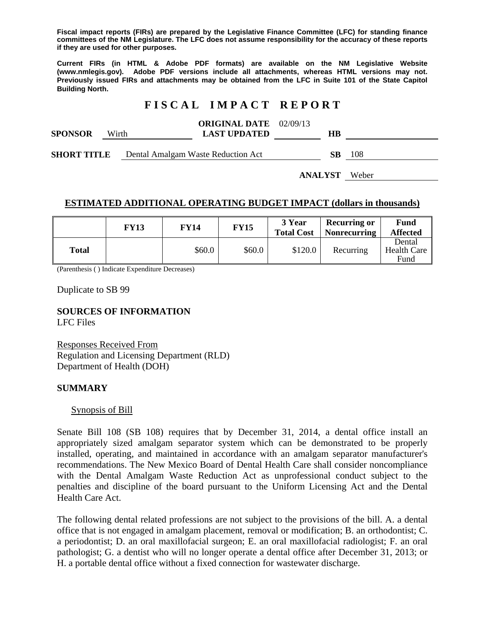**Fiscal impact reports (FIRs) are prepared by the Legislative Finance Committee (LFC) for standing finance committees of the NM Legislature. The LFC does not assume responsibility for the accuracy of these reports if they are used for other purposes.** 

**Current FIRs (in HTML & Adobe PDF formats) are available on the NM Legislative Website (www.nmlegis.gov). Adobe PDF versions include all attachments, whereas HTML versions may not. Previously issued FIRs and attachments may be obtained from the LFC in Suite 101 of the State Capitol Building North.**

# **F I S C A L I M P A C T R E P O R T**

| <b>SPONSOR</b>     | Wirth |  | <b>ORIGINAL DATE</b> 02/09/13<br><b>LAST UPDATED</b> | HВ |     |
|--------------------|-------|--|------------------------------------------------------|----|-----|
| <b>SHORT TITLE</b> |       |  | Dental Amalgam Waste Reduction Act                   | SB | 108 |

**ANALYST** Weber

# **ESTIMATED ADDITIONAL OPERATING BUDGET IMPACT (dollars in thousands)**

|              | FY13 | FY14   | <b>FY15</b> | 3 Year<br><b>Total Cost</b> | <b>Recurring or</b><br><b>Nonrecurring</b> | Fund<br><b>Affected</b>       |
|--------------|------|--------|-------------|-----------------------------|--------------------------------------------|-------------------------------|
| <b>Total</b> |      | \$60.0 | \$60.0      | \$120.0                     | Recurring                                  | Dental<br>Health Care<br>Fund |

(Parenthesis ( ) Indicate Expenditure Decreases)

Duplicate to SB 99

**SOURCES OF INFORMATION**  LFC Files

Responses Received From Regulation and Licensing Department (RLD) Department of Health (DOH)

### **SUMMARY**

#### Synopsis of Bill

Senate Bill 108 (SB 108) requires that by December 31, 2014, a dental office install an appropriately sized amalgam separator system which can be demonstrated to be properly installed, operating, and maintained in accordance with an amalgam separator manufacturer's recommendations. The New Mexico Board of Dental Health Care shall consider noncompliance with the Dental Amalgam Waste Reduction Act as unprofessional conduct subject to the penalties and discipline of the board pursuant to the Uniform Licensing Act and the Dental Health Care Act.

The following dental related professions are not subject to the provisions of the bill. A. a dental office that is not engaged in amalgam placement, removal or modification; B. an orthodontist; C. a periodontist; D. an oral maxillofacial surgeon; E. an oral maxillofacial radiologist; F. an oral pathologist; G. a dentist who will no longer operate a dental office after December 31, 2013; or H. a portable dental office without a fixed connection for wastewater discharge.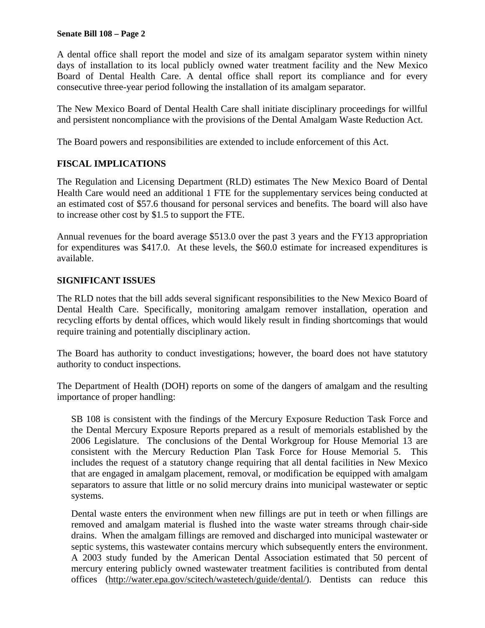#### **Senate Bill 108 – Page 2**

A dental office shall report the model and size of its amalgam separator system within ninety days of installation to its local publicly owned water treatment facility and the New Mexico Board of Dental Health Care. A dental office shall report its compliance and for every consecutive three-year period following the installation of its amalgam separator.

The New Mexico Board of Dental Health Care shall initiate disciplinary proceedings for willful and persistent noncompliance with the provisions of the Dental Amalgam Waste Reduction Act.

The Board powers and responsibilities are extended to include enforcement of this Act.

# **FISCAL IMPLICATIONS**

The Regulation and Licensing Department (RLD) estimates The New Mexico Board of Dental Health Care would need an additional 1 FTE for the supplementary services being conducted at an estimated cost of \$57.6 thousand for personal services and benefits. The board will also have to increase other cost by \$1.5 to support the FTE.

Annual revenues for the board average \$513.0 over the past 3 years and the FY13 appropriation for expenditures was \$417.0. At these levels, the \$60.0 estimate for increased expenditures is available.

## **SIGNIFICANT ISSUES**

The RLD notes that the bill adds several significant responsibilities to the New Mexico Board of Dental Health Care. Specifically, monitoring amalgam remover installation, operation and recycling efforts by dental offices, which would likely result in finding shortcomings that would require training and potentially disciplinary action.

The Board has authority to conduct investigations; however, the board does not have statutory authority to conduct inspections.

The Department of Health (DOH) reports on some of the dangers of amalgam and the resulting importance of proper handling:

SB 108 is consistent with the findings of the Mercury Exposure Reduction Task Force and the Dental Mercury Exposure Reports prepared as a result of memorials established by the 2006 Legislature. The conclusions of the Dental Workgroup for House Memorial 13 are consistent with the Mercury Reduction Plan Task Force for House Memorial 5. This includes the request of a statutory change requiring that all dental facilities in New Mexico that are engaged in amalgam placement, removal, or modification be equipped with amalgam separators to assure that little or no solid mercury drains into municipal wastewater or septic systems.

Dental waste enters the environment when new fillings are put in teeth or when fillings are removed and amalgam material is flushed into the waste water streams through chair-side drains. When the amalgam fillings are removed and discharged into municipal wastewater or septic systems, this wastewater contains mercury which subsequently enters the environment. A 2003 study funded by the American Dental Association estimated that 50 percent of mercury entering publicly owned wastewater treatment facilities is contributed from dental offices (http://water.epa.gov/scitech/wastetech/guide/dental/). Dentists can reduce this